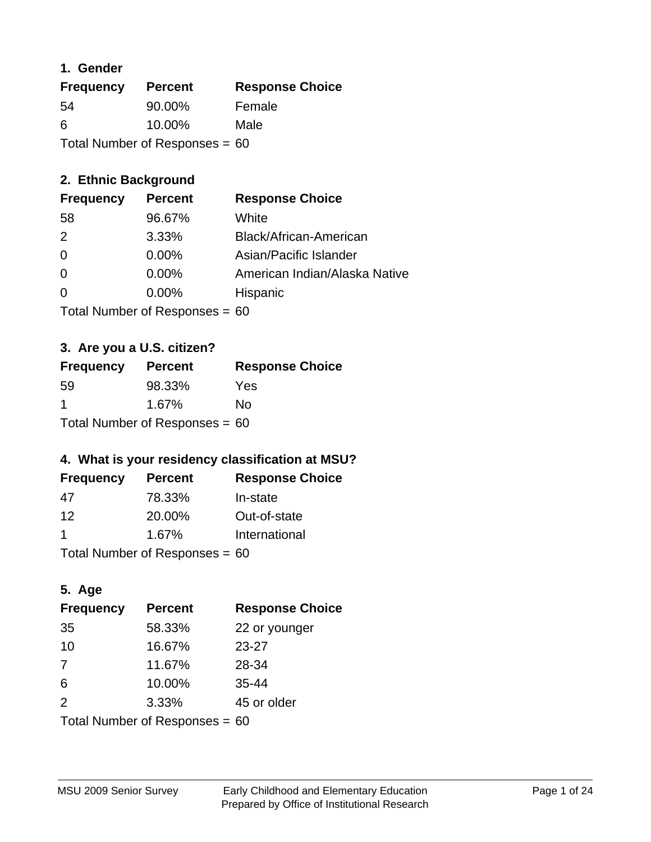#### **1. Gender**

| <b>Frequency</b>                 | <b>Percent</b> | <b>Response Choice</b> |
|----------------------------------|----------------|------------------------|
| 54                               | 90.00%         | Female                 |
| 6                                | 10.00%         | Male                   |
| Total Number of Responses = $60$ |                |                        |

# **2. Ethnic Background**

| <b>Frequency</b> | <b>Percent</b> | <b>Response Choice</b>        |
|------------------|----------------|-------------------------------|
| 58               | 96.67%         | White                         |
| $\mathcal{P}$    | 3.33%          | Black/African-American        |
| 0                | 0.00%          | Asian/Pacific Islander        |
| 0                | 0.00%          | American Indian/Alaska Native |
| $\Omega$         | 0.00%          | Hispanic                      |
|                  |                |                               |

Total Number of Responses = 60

# **3. Are you a U.S. citizen?**

| <b>Frequency</b>                 | <b>Percent</b> | <b>Response Choice</b> |
|----------------------------------|----------------|------------------------|
| -59                              | 98.33%         | Yes                    |
| -1                               | 1.67%          | N٥                     |
| Total Number of Responses = $60$ |                |                        |

# **4. What is your residency classification at MSU?**

| <b>Frequency</b> | <b>Percent</b> | <b>Response Choice</b> |
|------------------|----------------|------------------------|
| 47               | 78.33%         | In-state               |
| 12               | 20.00%         | Out-of-state           |
|                  | 1.67%          | International          |
|                  |                |                        |

Total Number of Responses = 60

# **5. Age**

| <b>Frequency</b>                 | <b>Percent</b> | <b>Response Choice</b> |
|----------------------------------|----------------|------------------------|
| 35                               | 58.33%         | 22 or younger          |
| 10                               | 16.67%         | 23-27                  |
| 7                                | 11.67%         | 28-34                  |
| 6                                | 10.00%         | $35 - 44$              |
| 2                                | 3.33%          | 45 or older            |
| Total Number of Responses = $60$ |                |                        |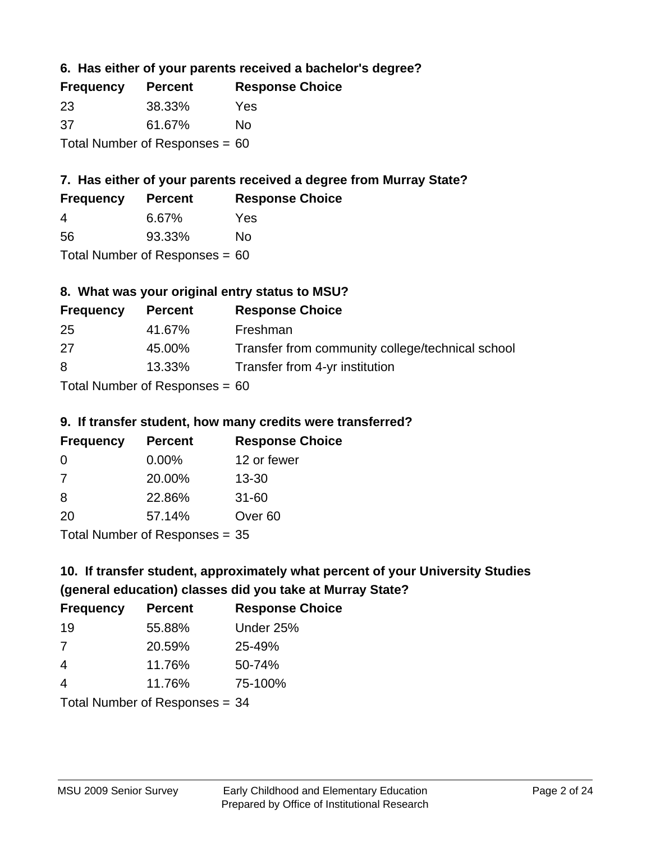## **6. Has either of your parents received a bachelor's degree?**

| <b>Frequency</b>                 | <b>Percent</b> | <b>Response Choice</b> |
|----------------------------------|----------------|------------------------|
| -23                              | 38.33%         | Yes                    |
| -37                              | 61.67%         | No                     |
| Total Number of Responses = $60$ |                |                        |

# **7. Has either of your parents received a degree from Murray State?**

| <b>Frequency</b> | <b>Percent</b> | <b>Response Choice</b> |
|------------------|----------------|------------------------|
| 4                | 6.67%          | Yes                    |
| 56               | 93.33%         | No                     |

Total Number of Responses = 60

# **8. What was your original entry status to MSU?**

| <b>Frequency</b> | <b>Percent</b>               | <b>Response Choice</b>                           |
|------------------|------------------------------|--------------------------------------------------|
| 25               | 41.67%                       | Freshman                                         |
| 27               | 45.00%                       | Transfer from community college/technical school |
| 8                | 13.33%                       | Transfer from 4-yr institution                   |
|                  | Total Number of Deepensee CO |                                                  |

Total Number of Responses = 60

#### **9. If transfer student, how many credits were transferred?**

| <b>Frequency</b>                | <b>Percent</b> | <b>Response Choice</b> |
|---------------------------------|----------------|------------------------|
| -0                              | $0.00\%$       | 12 or fewer            |
| -7                              | 20.00%         | $13 - 30$              |
| -8                              | 22.86%         | $31 - 60$              |
| -20                             | 57.14%         | Over <sub>60</sub>     |
| $Total Number of Doonono0 = 2F$ |                |                        |

Total Number of Responses = 35

# **10. If transfer student, approximately what percent of your University Studies (general education) classes did you take at Murray State?**

| <b>Frequency</b>               | <b>Percent</b> | <b>Response Choice</b> |
|--------------------------------|----------------|------------------------|
| 19                             | 55.88%         | Under 25%              |
| 7                              | 20.59%         | 25-49%                 |
| $\overline{4}$                 | 11.76%         | 50-74%                 |
| $\overline{4}$                 | 11.76%         | 75-100%                |
| Total Number of Responses = 34 |                |                        |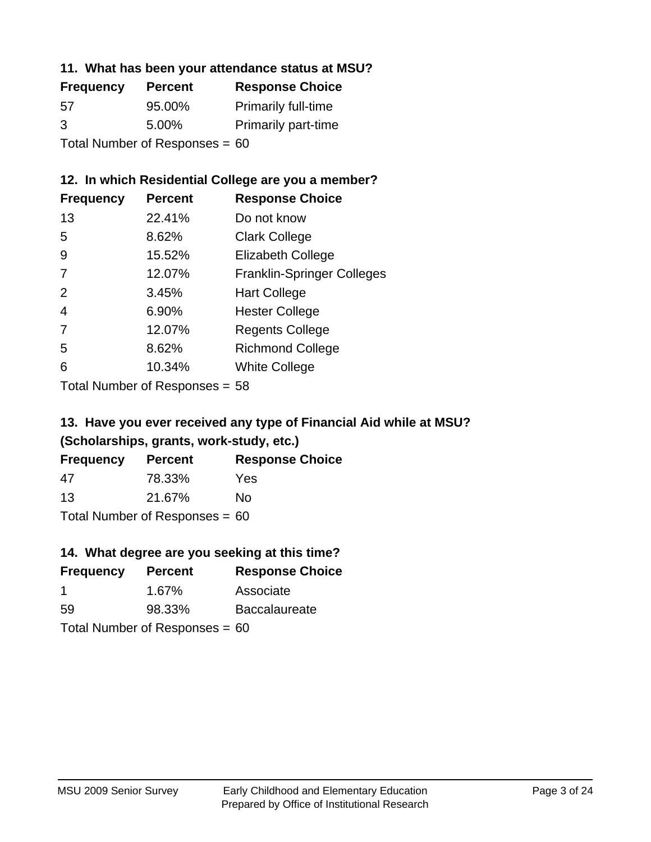#### **11. What has been your attendance status at MSU?**

| <b>Frequency</b>               | <b>Percent</b> | <b>Response Choice</b>     |
|--------------------------------|----------------|----------------------------|
| 57                             | 95.00%         | <b>Primarily full-time</b> |
| 3                              | 5.00%          | <b>Primarily part-time</b> |
| Total Number of Responses = 60 |                |                            |

#### **12. In which Residential College are you a member?**

| <b>Frequency</b> | <b>Percent</b> | <b>Response Choice</b>            |
|------------------|----------------|-----------------------------------|
| 13               | 22.41%         | Do not know                       |
| 5                | 8.62%          | <b>Clark College</b>              |
| 9                | 15.52%         | <b>Elizabeth College</b>          |
| 7                | 12.07%         | <b>Franklin-Springer Colleges</b> |
| 2                | 3.45%          | <b>Hart College</b>               |
| 4                | 6.90%          | <b>Hester College</b>             |
| 7                | 12.07%         | <b>Regents College</b>            |
| 5                | 8.62%          | <b>Richmond College</b>           |
| 6                | 10.34%         | <b>White College</b>              |
|                  |                |                                   |

Total Number of Responses = 58

# **13. Have you ever received any type of Financial Aid while at MSU? (Scholarships, grants, work-study, etc.)**

| <b>Frequency</b>                 | <b>Percent</b> | <b>Response Choice</b> |
|----------------------------------|----------------|------------------------|
| 47                               | 78.33%         | Yes                    |
| 13                               | 21.67%         | Nο                     |
| Total Number of Responses = $60$ |                |                        |

#### **14. What degree are you seeking at this time?**

| <b>Frequency</b>     | <b>Percent</b>                   | <b>Response Choice</b> |
|----------------------|----------------------------------|------------------------|
| $\blacktriangleleft$ | 1.67%                            | Associate              |
| 59                   | 98.33%                           | <b>Baccalaureate</b>   |
|                      | Total Number of Responses = $60$ |                        |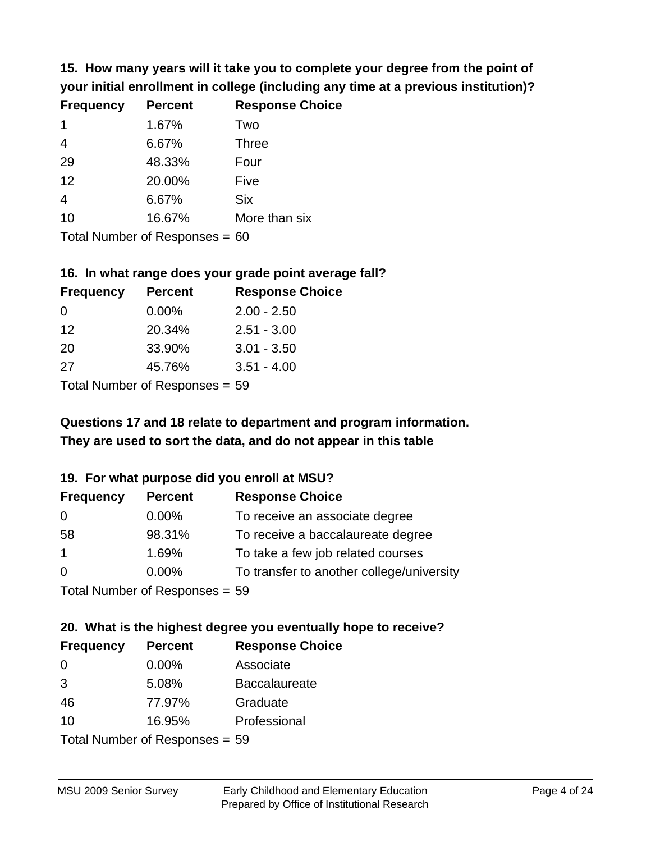**15. How many years will it take you to complete your degree from the point of your initial enrollment in college (including any time at a previous institution)?**

| <b>Frequency</b> | <b>Percent</b> | <b>Response Choice</b> |
|------------------|----------------|------------------------|
| $\mathbf 1$      | 1.67%          | Two                    |
| $\overline{4}$   | 6.67%          | <b>Three</b>           |
| 29               | 48.33%         | Four                   |
| 12               | 20.00%         | Five                   |
| $\overline{4}$   | 6.67%          | <b>Six</b>             |
| 10               | 16.67%         | More than six          |
|                  |                |                        |

Total Number of Responses = 60

#### **16. In what range does your grade point average fall?**

| <b>Frequency</b> | <b>Percent</b> | <b>Response Choice</b> |
|------------------|----------------|------------------------|
| 0                | $0.00\%$       | $2.00 - 2.50$          |
| 12               | 20.34%         | $2.51 - 3.00$          |
| 20               | 33.90%         | $3.01 - 3.50$          |
| 27               | 45.76%         | $3.51 - 4.00$          |
|                  |                |                        |

Total Number of Responses = 59

# **They are used to sort the data, and do not appear in this table Questions 17 and 18 relate to department and program information.**

#### **19. For what purpose did you enroll at MSU?**

| <b>Frequency</b> | <b>Percent</b>                 | <b>Response Choice</b>                    |
|------------------|--------------------------------|-------------------------------------------|
| 0                | $0.00\%$                       | To receive an associate degree            |
| 58               | 98.31%                         | To receive a baccalaureate degree         |
| $\overline{1}$   | 1.69%                          | To take a few job related courses         |
| $\Omega$         | 0.00%                          | To transfer to another college/university |
|                  | Total Number of Responses - 50 |                                           |

Total Number of Responses = 59

# **20. What is the highest degree you eventually hope to receive?**

| <b>Frequency</b>                | <b>Percent</b> | <b>Response Choice</b> |
|---------------------------------|----------------|------------------------|
| 0                               | 0.00%          | Associate              |
| 3                               | 5.08%          | <b>Baccalaureate</b>   |
| 46                              | 77.97%         | Graduate               |
| 10                              | 16.95%         | Professional           |
| $Total$ Number of Despanses $-$ |                |                        |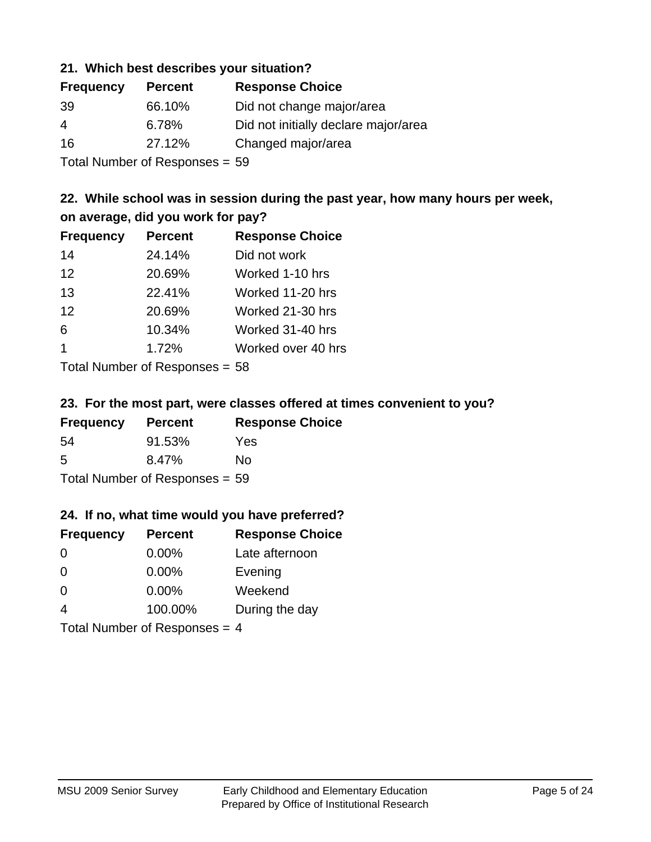#### **21. Which best describes your situation?**

| <b>Frequency</b> | <b>Percent</b> | <b>Response Choice</b>               |
|------------------|----------------|--------------------------------------|
| 39               | 66.10%         | Did not change major/area            |
| 4                | 6.78%          | Did not initially declare major/area |
| 16               | 27.12%         | Changed major/area                   |
|                  |                |                                      |

Total Number of Responses = 59

# **22. While school was in session during the past year, how many hours per week, on average, did you work for pay?**

| <b>Frequency</b>     | <b>Percent</b> | <b>Response Choice</b> |
|----------------------|----------------|------------------------|
| 14                   | 24.14%         | Did not work           |
| 12                   | 20.69%         | Worked 1-10 hrs        |
| 13                   | 22.41%         | Worked 11-20 hrs       |
| 12                   | 20.69%         | Worked 21-30 hrs       |
| 6                    | 10.34%         | Worked 31-40 hrs       |
| $\blacktriangleleft$ | 1.72%          | Worked over 40 hrs     |
|                      |                |                        |

Total Number of Responses = 58

#### **23. For the most part, were classes offered at times convenient to you?**

| <b>Frequency</b>               | <b>Percent</b> | <b>Response Choice</b> |
|--------------------------------|----------------|------------------------|
| -54                            | 91.53%         | Yes                    |
| .5                             | 8.47%          | No.                    |
| Total Number of Responses = 59 |                |                        |

#### **24. If no, what time would you have preferred?**

| <b>Frequency</b>                | <b>Percent</b> | <b>Response Choice</b> |
|---------------------------------|----------------|------------------------|
| $\Omega$                        | $0.00\%$       | Late afternoon         |
| $\Omega$                        | $0.00\%$       | Evening                |
| 0                               | $0.00\%$       | Weekend                |
| $\overline{4}$                  | 100.00%        | During the day         |
| Total Number of Responses = $4$ |                |                        |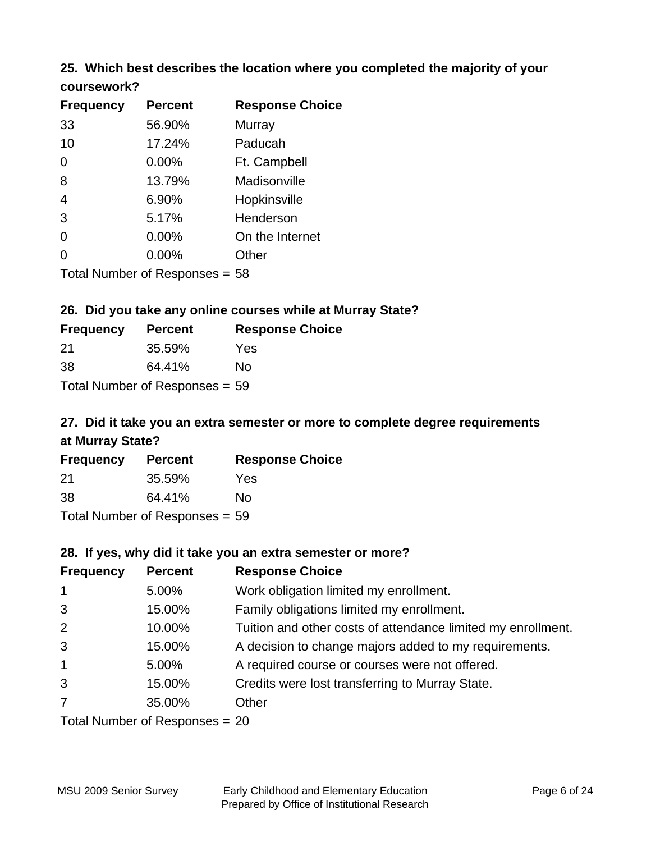# **25. Which best describes the location where you completed the majority of your**

| coursework? |  |
|-------------|--|
|-------------|--|

| <b>Frequency</b> | <b>Percent</b>                   | <b>Response Choice</b> |
|------------------|----------------------------------|------------------------|
| 33               | 56.90%                           | Murray                 |
| 10               | 17.24%                           | Paducah                |
| 0                | $0.00\%$                         | Ft. Campbell           |
| 8                | 13.79%                           | Madisonville           |
| 4                | 6.90%                            | Hopkinsville           |
| 3                | 5.17%                            | Henderson              |
| 0                | 0.00%                            | On the Internet        |
| 0                | 0.00%                            | Other                  |
|                  | Total Number of Responses $= 58$ |                        |

#### **26. Did you take any online courses while at Murray State?**

| <b>Frequency</b> | <b>Percent</b>                 | <b>Response</b> |
|------------------|--------------------------------|-----------------|
| -21              | 35.59%                         | Yes             |
| -38              | 64.41%                         | Nο              |
|                  | Total Number of Responses = 59 |                 |

# **27. Did it take you an extra semester or more to complete degree requirements at Murray State?**

**Choice** 

| <b>Frequency</b> | <b>Percent</b>                 | <b>Response Choice</b> |
|------------------|--------------------------------|------------------------|
| 21               | 35.59%                         | Yes                    |
| 38               | 64.41%                         | Nο                     |
|                  | Total Number of Responses = 59 |                        |

#### **28. If yes, why did it take you an extra semester or more?**

| <b>Frequency</b> | <b>Percent</b>                   | <b>Response Choice</b>                                       |
|------------------|----------------------------------|--------------------------------------------------------------|
| $\mathbf{1}$     | 5.00%                            | Work obligation limited my enrollment.                       |
| 3                | 15.00%                           | Family obligations limited my enrollment.                    |
| $\overline{2}$   | 10.00%                           | Tuition and other costs of attendance limited my enrollment. |
| 3                | 15.00%                           | A decision to change majors added to my requirements.        |
| $\mathbf{1}$     | 5.00%                            | A required course or courses were not offered.               |
| 3                | 15.00%                           | Credits were lost transferring to Murray State.              |
| $\overline{7}$   | 35.00%                           | Other                                                        |
|                  | Total Number of Responses $= 20$ |                                                              |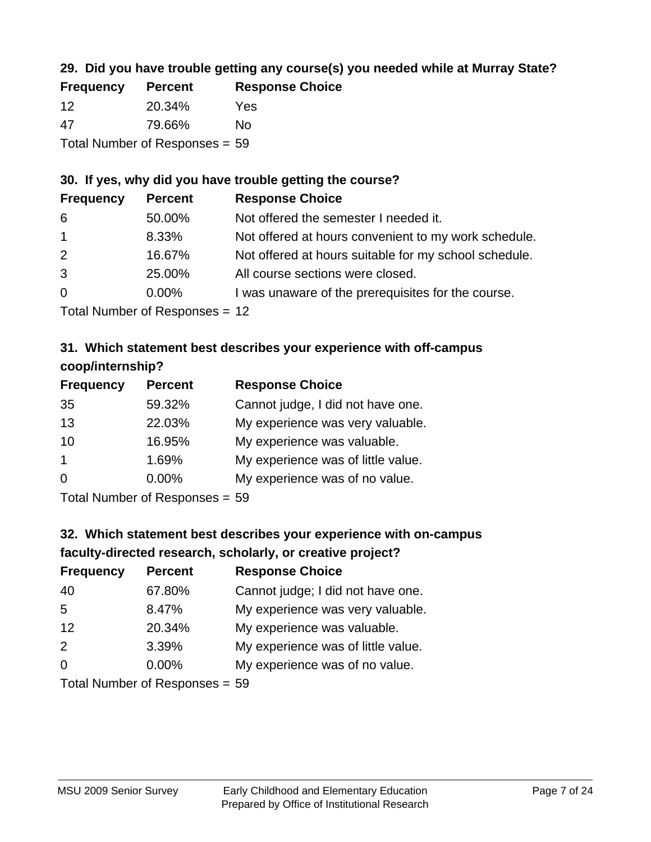# **29. Did you have trouble getting any course(s) you needed while at Murray State?**

| <b>Frequency</b> | <b>Percent</b>                 | <b>Response Choice</b> |
|------------------|--------------------------------|------------------------|
| -12              | 20.34%                         | Yes                    |
| -47              | 79.66%                         | Nο                     |
|                  | Total Number of Responses = 59 |                        |

# **30. If yes, why did you have trouble getting the course?**

| <b>Frequency</b> | <b>Percent</b> | <b>Response Choice</b>                                |
|------------------|----------------|-------------------------------------------------------|
| 6                | 50.00%         | Not offered the semester I needed it.                 |
| $\overline{1}$   | 8.33%          | Not offered at hours convenient to my work schedule.  |
| 2                | 16.67%         | Not offered at hours suitable for my school schedule. |
| 3                | 25.00%         | All course sections were closed.                      |
| $\overline{0}$   | $0.00\%$       | I was unaware of the prerequisites for the course.    |
|                  |                |                                                       |

Total Number of Responses = 12

# **31. Which statement best describes your experience with off-campus coop/internship?**

| <b>Frequency</b> | <b>Percent</b> | <b>Response Choice</b>             |
|------------------|----------------|------------------------------------|
| 35               | 59.32%         | Cannot judge, I did not have one.  |
| 13               | 22.03%         | My experience was very valuable.   |
| 10               | 16.95%         | My experience was valuable.        |
| $\overline{1}$   | 1.69%          | My experience was of little value. |
| $\Omega$         | 0.00%          | My experience was of no value.     |
|                  |                |                                    |

Total Number of Responses = 59

# **32. Which statement best describes your experience with on-campus faculty-directed research, scholarly, or creative project?**

| <b>Frequency</b> | <b>Percent</b>                 | <b>Response Choice</b>             |
|------------------|--------------------------------|------------------------------------|
| 40               | 67.80%                         | Cannot judge; I did not have one.  |
| 5                | 8.47%                          | My experience was very valuable.   |
| 12               | 20.34%                         | My experience was valuable.        |
| 2                | 3.39%                          | My experience was of little value. |
| $\Omega$         | 0.00%                          | My experience was of no value.     |
|                  | $Total Number of Denonce - EQ$ |                                    |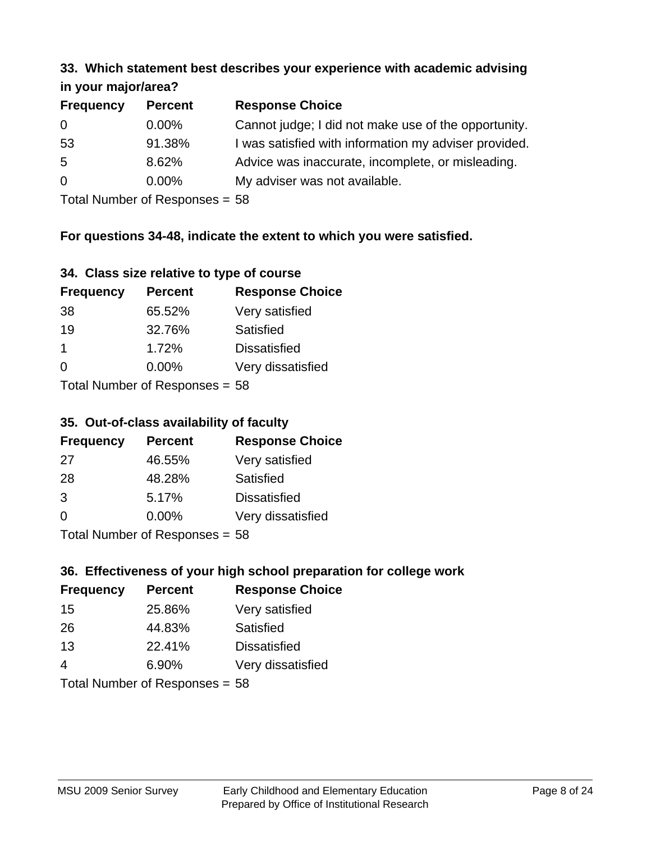#### **33. Which statement best describes your experience with academic advising in your major/area?**

| in your major/area? |                |                                                       |
|---------------------|----------------|-------------------------------------------------------|
| <b>Frequency</b>    | <b>Percent</b> | <b>Response Choice</b>                                |
| $\Omega$            | $0.00\%$       | Cannot judge; I did not make use of the opportunity.  |
| 53                  | 91.38%         | I was satisfied with information my adviser provided. |

- ion my adviser provided. 5 8.62% Advice was inaccurate, incomplete, or misleading.
- 0 0.00% My adviser was not available.

Total Number of Responses = 58

# **For questions 34-48, indicate the extent to which you were satisfied.**

# **34. Class size relative to type of course**

| <b>Frequency</b>             | <b>Percent</b> | <b>Response Choice</b> |
|------------------------------|----------------|------------------------|
| 38                           | 65.52%         | Very satisfied         |
| 19                           | 32.76%         | Satisfied              |
| $\mathbf 1$                  | 1.72%          | <b>Dissatisfied</b>    |
| $\Omega$                     | $0.00\%$       | Very dissatisfied      |
| $Total Number of Denonese -$ |                |                        |

Total Number of Responses = 58

# **35. Out-of-class availability of faculty**

| <b>Frequency</b> | <b>Percent</b>             | <b>Response Choice</b> |
|------------------|----------------------------|------------------------|
| 27               | 46.55%                     | Very satisfied         |
| 28               | 48.28%                     | Satisfied              |
| 3                | 5.17%                      | <b>Dissatisfied</b>    |
| $\Omega$         | 0.00%                      | Very dissatisfied      |
|                  | Total Number of Deepersoon | гο                     |

Total Number of Responses = 58

# **36. Effectiveness of your high school preparation for college work**

| <b>Frequency</b> | <b>Percent</b>            | <b>Response Choice</b> |
|------------------|---------------------------|------------------------|
| 15               | 25.86%                    | Very satisfied         |
| 26               | 44.83%                    | Satisfied              |
| 13               | 22.41%                    | <b>Dissatisfied</b>    |
| 4                | 6.90%                     | Very dissatisfied      |
|                  | Total Number of Desponses |                        |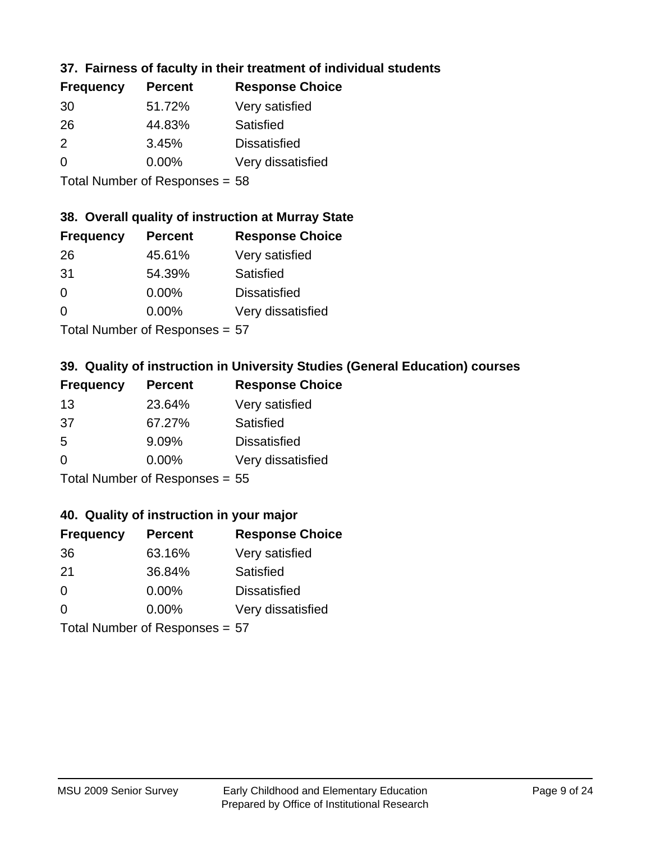# **37. Fairness of faculty in their treatment of individual students**

| <b>Frequency</b> | <b>Percent</b> | <b>Response Choice</b> |
|------------------|----------------|------------------------|
| 30               | 51.72%         | Very satisfied         |
| 26               | 44.83%         | Satisfied              |
| $\mathcal{P}$    | 3.45%          | <b>Dissatisfied</b>    |
| $\Omega$         | $0.00\%$       | Very dissatisfied      |
|                  |                |                        |

Total Number of Responses = 58

#### **38. Overall quality of instruction at Murray State**

| <b>Frequency</b> | <b>Percent</b>             | <b>Response Choice</b> |
|------------------|----------------------------|------------------------|
| 26               | 45.61%                     | Very satisfied         |
| 31               | 54.39%                     | Satisfied              |
| $\Omega$         | 0.00%                      | <b>Dissatisfied</b>    |
| $\Omega$         | 0.00%                      | Very dissatisfied      |
|                  | Tatal Number of Desperance |                        |

Total Number of Responses = 57

# **39. Quality of instruction in University Studies (General Education) courses**

| <b>Frequency</b> | <b>Percent</b>                  | <b>Response Choice</b> |
|------------------|---------------------------------|------------------------|
| 13               | 23.64%                          | Very satisfied         |
| .37              | 67.27%                          | Satisfied              |
| .5               | 9.09%                           | <b>Dissatisfied</b>    |
| $\Omega$         | 0.00%                           | Very dissatisfied      |
|                  | $Total$ Number of Despasses $-$ |                        |

Total Number of Responses = 55

#### **40. Quality of instruction in your major**

| <b>Frequency</b> | <b>Percent</b>             | <b>Response Choice</b> |
|------------------|----------------------------|------------------------|
| 36               | 63.16%                     | Very satisfied         |
| 21               | 36.84%                     | Satisfied              |
| $\Omega$         | $0.00\%$                   | <b>Dissatisfied</b>    |
| $\Omega$         | 0.00%                      | Very dissatisfied      |
|                  | Total Number of Deepersoon |                        |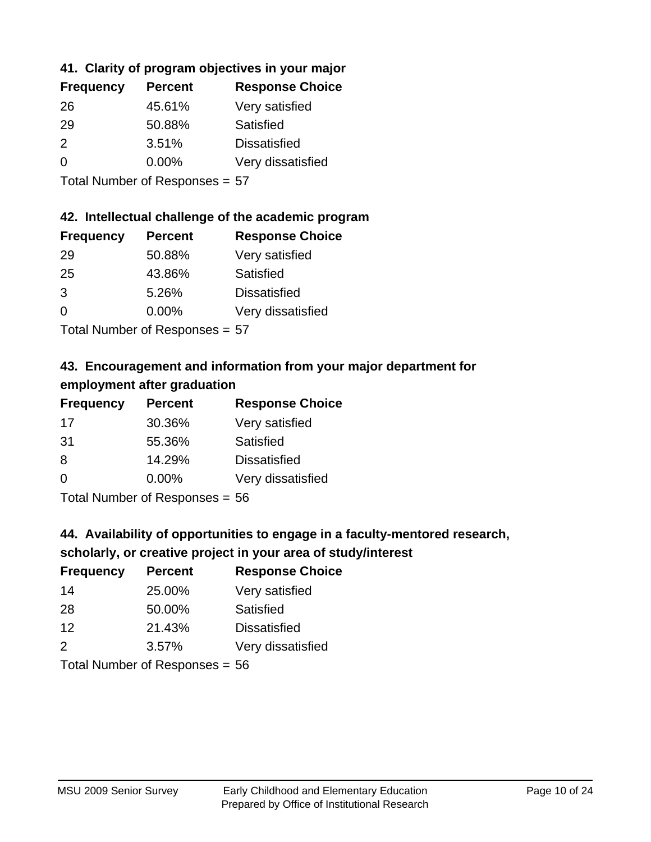# **41. Clarity of program objectives in your major**

| <b>Frequency</b> | <b>Percent</b> | <b>Response Choice</b> |
|------------------|----------------|------------------------|
| 26               | 45.61%         | Very satisfied         |
| 29               | 50.88%         | Satisfied              |
| $\mathcal{P}$    | 3.51%          | <b>Dissatisfied</b>    |
| $\Omega$         | $0.00\%$       | Very dissatisfied      |
|                  |                |                        |

Total Number of Responses = 57

#### **42. Intellectual challenge of the academic program**

| <b>Frequency</b> | <b>Percent</b> | <b>Response Choice</b> |
|------------------|----------------|------------------------|
| -29              | 50.88%         | Very satisfied         |
| 25               | 43.86%         | Satisfied              |
| $\mathcal{B}$    | 5.26%          | <b>Dissatisfied</b>    |
| $\Omega$         | 0.00%          | Very dissatisfied      |
|                  |                |                        |

Total Number of Responses = 57

# **43. Encouragement and information from your major department for employment after graduation**

| <b>Frequency</b> | <b>Percent</b> | <b>Response Choice</b> |
|------------------|----------------|------------------------|
| 17               | 30.36%         | Very satisfied         |
| 31               | 55.36%         | Satisfied              |
| 8                | 14.29%         | <b>Dissatisfied</b>    |
| $\Omega$         | $0.00\%$       | Very dissatisfied      |
|                  |                |                        |

Total Number of Responses = 56

# **44. Availability of opportunities to engage in a faculty-mentored research,**

# **scholarly, or creative project in your area of study/interest**

| <b>Frequency</b> | <b>Percent</b> | <b>Response Choice</b> |
|------------------|----------------|------------------------|
| 14               | 25.00%         | Very satisfied         |
| 28               | 50.00%         | Satisfied              |
| 12               | 21.43%         | <b>Dissatisfied</b>    |
| $\mathcal{P}$    | 3.57%          | Very dissatisfied      |
|                  |                |                        |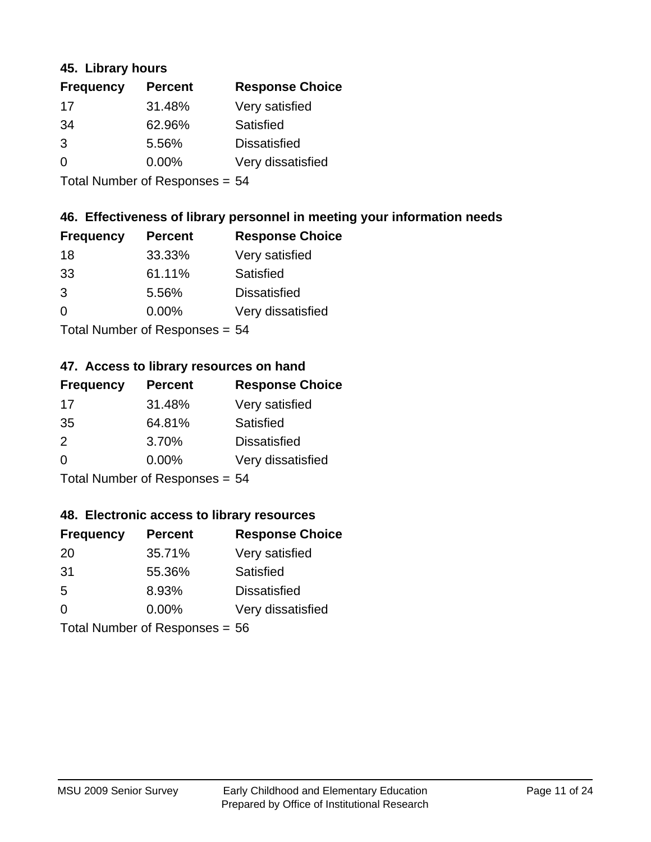#### **45. Library hours**

| <b>Frequency</b> | <b>Percent</b> | <b>Response Choice</b> |
|------------------|----------------|------------------------|
| 17               | 31.48%         | Very satisfied         |
| 34               | 62.96%         | Satisfied              |
| 3                | 5.56%          | <b>Dissatisfied</b>    |
| 0                | 0.00%          | Very dissatisfied      |
|                  |                |                        |

Total Number of Responses = 54

#### **46. Effectiveness of library personnel in meeting your information needs**

| <b>Frequency</b> | <b>Percent</b> | <b>Response Choice</b> |
|------------------|----------------|------------------------|
| 18               | 33.33%         | Very satisfied         |
| 33               | 61.11%         | Satisfied              |
| 3                | 5.56%          | <b>Dissatisfied</b>    |
| $\Omega$         | 0.00%          | Very dissatisfied      |
|                  |                |                        |

Total Number of Responses = 54

#### **47. Access to library resources on hand**

| <b>Frequency</b>               | <b>Percent</b> | <b>Response Choice</b> |
|--------------------------------|----------------|------------------------|
| 17                             | 31.48%         | Very satisfied         |
| 35                             | 64.81%         | Satisfied              |
| 2                              | 3.70%          | <b>Dissatisfied</b>    |
| $\Omega$                       | $0.00\%$       | Very dissatisfied      |
| Total Number of Responses = 54 |                |                        |

#### **48. Electronic access to library resources**

| <b>Frequency</b>                 | <b>Percent</b> | <b>Response Choice</b> |
|----------------------------------|----------------|------------------------|
| 20                               | 35.71%         | Very satisfied         |
| 31                               | 55.36%         | Satisfied              |
| 5                                | 8.93%          | <b>Dissatisfied</b>    |
| $\Omega$                         | $0.00\%$       | Very dissatisfied      |
| Total Number of Responses = $56$ |                |                        |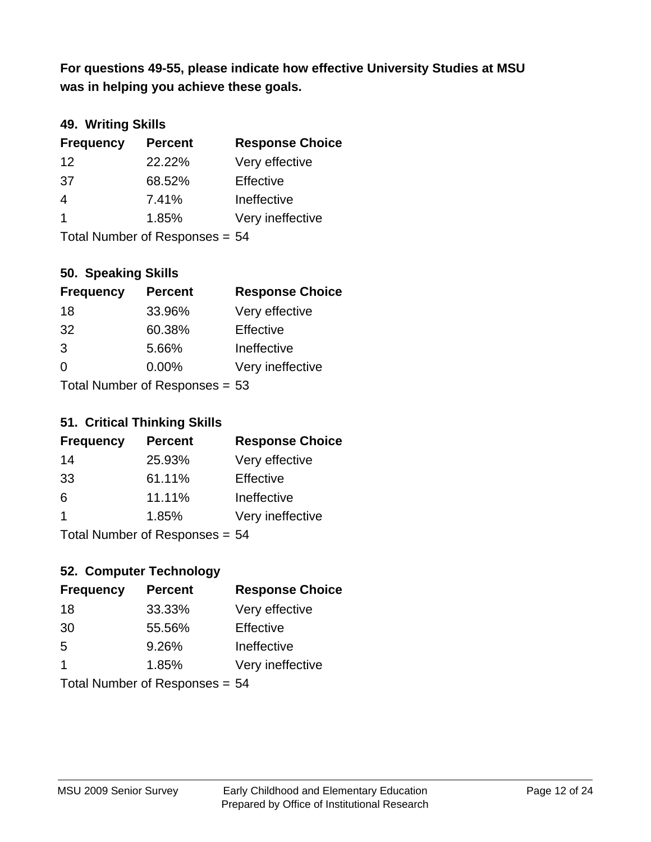**was in helping you achieve these goals. For questions 49-55, please indicate how effective University Studies at MSU** 

# **49. Writing Skills**

| <b>Frequency</b>               | <b>Percent</b> | <b>Response Choice</b> |
|--------------------------------|----------------|------------------------|
| 12                             | 22.22%         | Very effective         |
| 37                             | 68.52%         | Effective              |
| 4                              | 7.41%          | Ineffective            |
| $\overline{\mathbf{1}}$        | 1.85%          | Very ineffective       |
| Total Number of Responses = 54 |                |                        |

## **50. Speaking Skills**

| <b>Frequency</b> | <b>Percent</b>                 | <b>Response Choice</b> |
|------------------|--------------------------------|------------------------|
| 18               | 33.96%                         | Very effective         |
| 32               | 60.38%                         | Effective              |
| 3                | 5.66%                          | Ineffective            |
| $\Omega$         | 0.00%                          | Very ineffective       |
|                  | Total Number of Reconnege – 53 |                        |

Total Number of Responses = 53

#### **51. Critical Thinking Skills**

| <b>Frequency</b> | <b>Percent</b>            | <b>Response Choice</b> |
|------------------|---------------------------|------------------------|
| 14               | 25.93%                    | Very effective         |
| 33               | 61.11%                    | Effective              |
| 6                | 11.11%                    | Ineffective            |
| -1               | 1.85%                     | Very ineffective       |
|                  | Total Number of Deepensee |                        |

Total Number of Responses = 54

# **52. Computer Technology**

| <b>Frequency</b> | <b>Percent</b>                 | <b>Response Choice</b> |
|------------------|--------------------------------|------------------------|
| 18               | 33.33%                         | Very effective         |
| 30               | 55.56%                         | Effective              |
| 5                | 9.26%                          | Ineffective            |
| -1               | 1.85%                          | Very ineffective       |
|                  | Total Number of Responses = 54 |                        |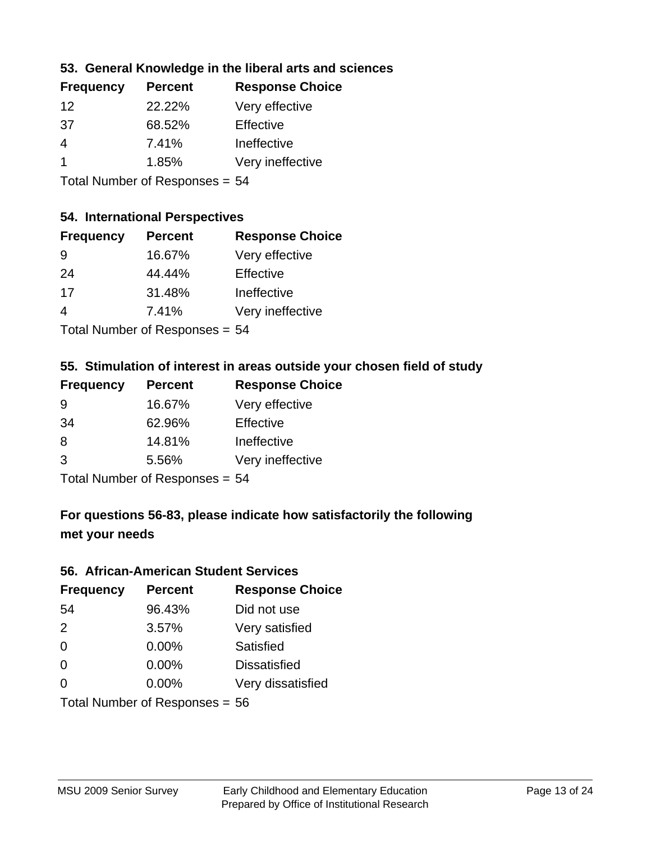## **53. General Knowledge in the liberal arts and sciences**

| <b>Frequency</b> | <b>Percent</b> | <b>Response Choice</b> |
|------------------|----------------|------------------------|
| 12               | 22.22%         | Very effective         |
| 37               | 68.52%         | Effective              |
| 4                | 7.41%          | Ineffective            |
|                  | 1.85%          | Very ineffective       |
|                  |                |                        |

Total Number of Responses = 54

#### **54. International Perspectives**

| <b>Frequency</b> | <b>Percent</b>              | <b>Response Choice</b> |
|------------------|-----------------------------|------------------------|
| -9               | 16.67%                      | Very effective         |
| 24               | 44.44%                      | Effective              |
| 17               | 31.48%                      | Ineffective            |
| 4                | 7.41%                       | Very ineffective       |
|                  | Tatal Massakan af Dagmannar |                        |

Total Number of Responses = 54

#### **55. Stimulation of interest in areas outside your chosen field of study**

| <b>Frequency</b> | <b>Percent</b>                 | <b>Response Choice</b> |
|------------------|--------------------------------|------------------------|
| 9                | 16.67%                         | Very effective         |
| 34               | 62.96%                         | Effective              |
| 8                | 14.81%                         | Ineffective            |
| 3                | 5.56%                          | Very ineffective       |
|                  | Total Number of Responses = 54 |                        |

**For questions 56-83, please indicate how satisfactorily the following met your needs**

#### **56. African-American Student Services**

| <b>Frequency</b> | <b>Percent</b>                 | <b>Response Choice</b> |
|------------------|--------------------------------|------------------------|
| 54               | 96.43%                         | Did not use            |
| 2                | 3.57%                          | Very satisfied         |
| $\Omega$         | 0.00%                          | Satisfied              |
| $\overline{0}$   | $0.00\%$                       | <b>Dissatisfied</b>    |
| $\Omega$         | $0.00\%$                       | Very dissatisfied      |
|                  | Total Number of Responses = 56 |                        |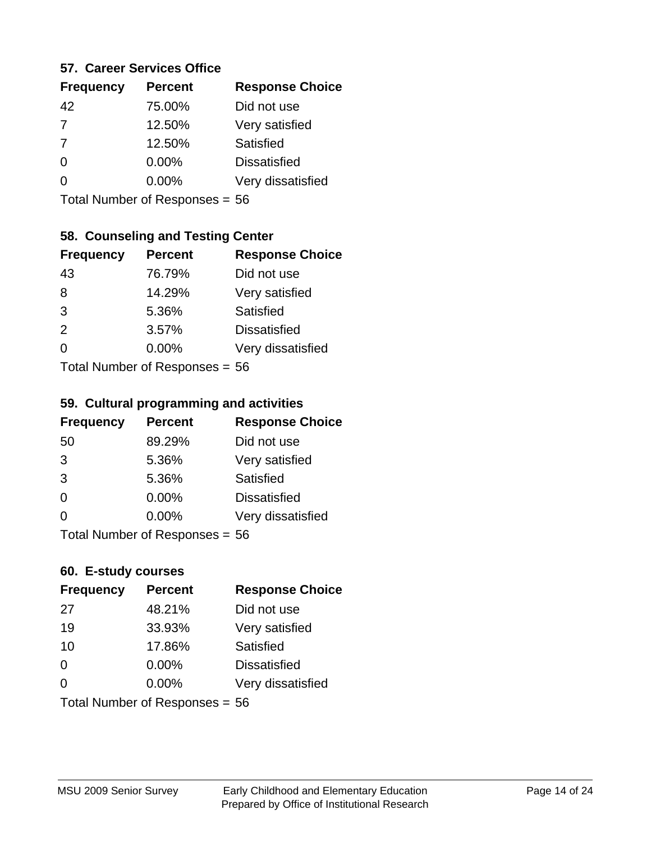#### **57. Career Services Office**

| <b>Frequency</b> | <b>Percent</b> | <b>Response Choice</b> |
|------------------|----------------|------------------------|
| 42               | 75.00%         | Did not use            |
| $\overline{7}$   | 12.50%         | Very satisfied         |
| $\overline{7}$   | 12.50%         | Satisfied              |
| ∩                | 0.00%          | <b>Dissatisfied</b>    |
|                  | 0.00%          | Very dissatisfied      |
|                  |                |                        |

Total Number of Responses = 56

# **58. Counseling and Testing Center**

| <b>Frequency</b> | <b>Percent</b>            | <b>Response Choice</b> |
|------------------|---------------------------|------------------------|
| 43               | 76.79%                    | Did not use            |
| 8                | 14.29%                    | Very satisfied         |
| 3                | 5.36%                     | <b>Satisfied</b>       |
| 2                | 3.57%                     | <b>Dissatisfied</b>    |
| 0                | 0.00%                     | Very dissatisfied      |
|                  | Total Number of Deepersee |                        |

Total Number of Responses = 56

#### **59. Cultural programming and activities**

| <b>Frequency</b>               | <b>Percent</b> | <b>Response Choice</b> |
|--------------------------------|----------------|------------------------|
| 50                             | 89.29%         | Did not use            |
| 3                              | 5.36%          | Very satisfied         |
| 3                              | 5.36%          | Satisfied              |
| $\Omega$                       | $0.00\%$       | <b>Dissatisfied</b>    |
| $\Omega$                       | $0.00\%$       | Very dissatisfied      |
| Total Number of Responses = 56 |                |                        |

#### **60. E-study courses**

| <b>Frequency</b> | <b>Percent</b>                 | <b>Response Choice</b> |
|------------------|--------------------------------|------------------------|
| 27               | 48.21%                         | Did not use            |
| 19               | 33.93%                         | Very satisfied         |
| 10               | 17.86%                         | Satisfied              |
| $\Omega$         | $0.00\%$                       | <b>Dissatisfied</b>    |
| $\Omega$         | $0.00\%$                       | Very dissatisfied      |
|                  | Total Number of Responses = 56 |                        |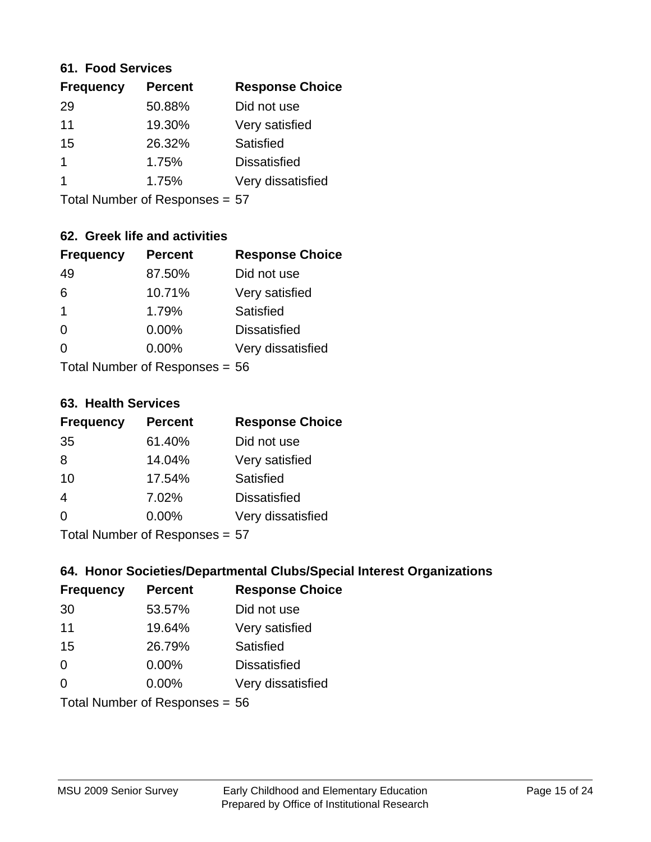#### **61. Food Services**

| <b>Frequency</b> | <b>Percent</b> | <b>Response Choice</b> |
|------------------|----------------|------------------------|
| 29               | 50.88%         | Did not use            |
| 11               | 19.30%         | Very satisfied         |
| 15               | 26.32%         | Satisfied              |
|                  | 1.75%          | <b>Dissatisfied</b>    |
|                  | 1.75%          | Very dissatisfied      |
|                  |                |                        |

Total Number of Responses = 57

# **62. Greek life and activities**

| <b>Frequency</b>               | <b>Percent</b> | <b>Response Choice</b> |
|--------------------------------|----------------|------------------------|
| 49                             | 87.50%         | Did not use            |
| 6                              | 10.71%         | Very satisfied         |
| $\mathbf 1$                    | 1.79%          | <b>Satisfied</b>       |
| $\Omega$                       | $0.00\%$       | <b>Dissatisfied</b>    |
| 0                              | $0.00\%$       | Very dissatisfied      |
| Total Number of Responses = 56 |                |                        |

**63. Health Services**

| <b>Frequency</b>                                                                                                                                             | <b>Percent</b> | <b>Response Choice</b> |
|--------------------------------------------------------------------------------------------------------------------------------------------------------------|----------------|------------------------|
| 35                                                                                                                                                           | 61.40%         | Did not use            |
| 8                                                                                                                                                            | 14.04%         | Very satisfied         |
| 10                                                                                                                                                           | 17.54%         | Satisfied              |
| $\overline{4}$                                                                                                                                               | 7.02%          | <b>Dissatisfied</b>    |
| $\Omega$                                                                                                                                                     | 0.00%          | Very dissatisfied      |
| $T$ . $\blacksquare$ . $\blacksquare$ . $\blacksquare$ . $\blacksquare$ . $\blacksquare$ . $\blacksquare$ . $\blacksquare$ . $\blacksquare$ . $\blacksquare$ |                |                        |

Total Number of Responses = 57

## **64. Honor Societies/Departmental Clubs/Special Interest Organizations**

| <b>Frequency</b> | <b>Percent</b>                 | <b>Response Choice</b> |
|------------------|--------------------------------|------------------------|
| 30               | 53.57%                         | Did not use            |
| 11               | 19.64%                         | Very satisfied         |
| 15               | 26.79%                         | Satisfied              |
| 0                | $0.00\%$                       | <b>Dissatisfied</b>    |
| $\Omega$         | 0.00%                          | Very dissatisfied      |
|                  | Total Number of Responses = 56 |                        |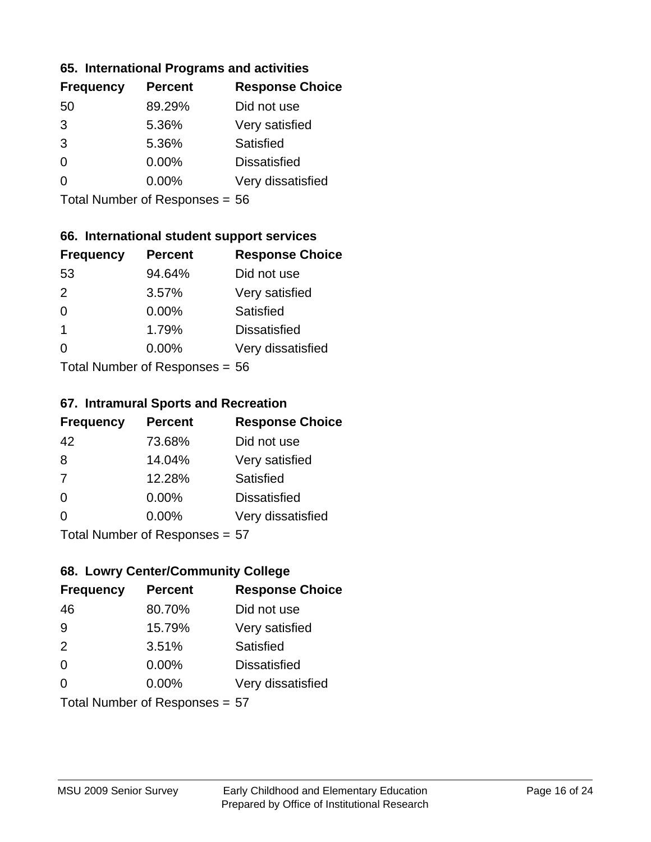#### **65. International Programs and activities**

| <b>Frequency</b> | <b>Percent</b> | <b>Response Choice</b> |
|------------------|----------------|------------------------|
| 50               | 89.29%         | Did not use            |
| 3                | 5.36%          | Very satisfied         |
| 3                | 5.36%          | Satisfied              |
| 0                | 0.00%          | <b>Dissatisfied</b>    |
|                  | $0.00\%$       | Very dissatisfied      |
|                  |                |                        |

Total Number of Responses = 56

# **66. International student support services**

| <b>Frequency</b> | <b>Percent</b>             | <b>Response Choice</b> |
|------------------|----------------------------|------------------------|
| 53               | 94.64%                     | Did not use            |
| $\mathcal{P}$    | 3.57%                      | Very satisfied         |
| $\Omega$         | 0.00%                      | <b>Satisfied</b>       |
| $\mathbf 1$      | 1.79%                      | <b>Dissatisfied</b>    |
| 0                | 0.00%                      | Very dissatisfied      |
|                  | Tatal Number of Desperance |                        |

Total Number of Responses = 56

#### **67. Intramural Sports and Recreation**

| <b>Frequency</b> | <b>Percent</b>            | <b>Response Choice</b> |
|------------------|---------------------------|------------------------|
| 42               | 73.68%                    | Did not use            |
| 8                | 14.04%                    | Very satisfied         |
| 7                | 12.28%                    | Satisfied              |
| $\Omega$         | $0.00\%$                  | <b>Dissatisfied</b>    |
| ∩                | 0.00%                     | Very dissatisfied      |
|                  | Total Number of Deepensee |                        |

Total Number of Responses = 57

# **68. Lowry Center/Community College**

| <b>Frequency</b>               | <b>Percent</b> | <b>Response Choice</b> |
|--------------------------------|----------------|------------------------|
| 46                             | 80.70%         | Did not use            |
| -9                             | 15.79%         | Very satisfied         |
| 2                              | 3.51%          | Satisfied              |
| $\Omega$                       | $0.00\%$       | <b>Dissatisfied</b>    |
| $\Omega$                       | $0.00\%$       | Very dissatisfied      |
| Total Number of Responses = 57 |                |                        |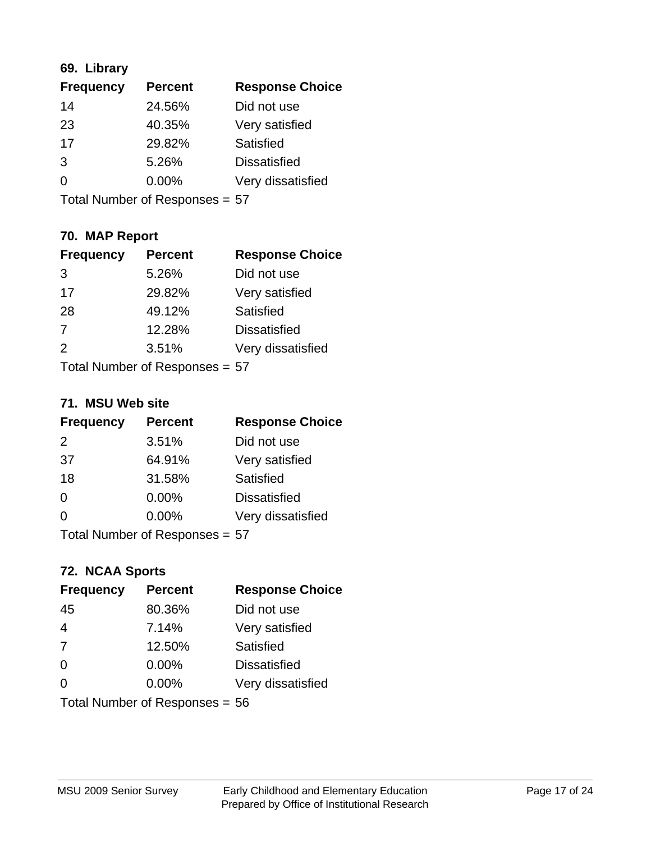## **69. Library**

| <b>Frequency</b> | <b>Percent</b> | <b>Response Choice</b> |
|------------------|----------------|------------------------|
| 14               | 24.56%         | Did not use            |
| 23               | 40.35%         | Very satisfied         |
| 17               | 29.82%         | Satisfied              |
| 3                | 5.26%          | <b>Dissatisfied</b>    |
| 0                | $0.00\%$       | Very dissatisfied      |
|                  |                |                        |

Total Number of Responses = 57

# **70. MAP Report**

| <b>Frequency</b>               | <b>Percent</b> | <b>Response Choice</b> |
|--------------------------------|----------------|------------------------|
| 3                              | 5.26%          | Did not use            |
| 17                             | 29.82%         | Very satisfied         |
| 28                             | 49.12%         | Satisfied              |
| $\overline{7}$                 | 12.28%         | <b>Dissatisfied</b>    |
| $\mathcal{P}$                  | 3.51%          | Very dissatisfied      |
| Total Number of Responses = 57 |                |                        |

#### **71. MSU Web site**

| <b>Frequency</b>               | <b>Percent</b> | <b>Response Choice</b> |
|--------------------------------|----------------|------------------------|
| $\mathcal{P}$                  | 3.51%          | Did not use            |
| 37                             | 64.91%         | Very satisfied         |
| 18                             | 31.58%         | Satisfied              |
| $\Omega$                       | 0.00%          | <b>Dissatisfied</b>    |
| $\Omega$                       | $0.00\%$       | Very dissatisfied      |
| Total Number of Responses = 57 |                |                        |

# **72. NCAA Sports**

| <b>Frequency</b> | <b>Percent</b>                   | <b>Response Choice</b> |
|------------------|----------------------------------|------------------------|
| 45               | 80.36%                           | Did not use            |
| $\overline{4}$   | 7.14%                            | Very satisfied         |
| 7                | 12.50%                           | Satisfied              |
| $\overline{0}$   | 0.00%                            | <b>Dissatisfied</b>    |
| $\Omega$         | 0.00%                            | Very dissatisfied      |
|                  | Total Number of Responses = $56$ |                        |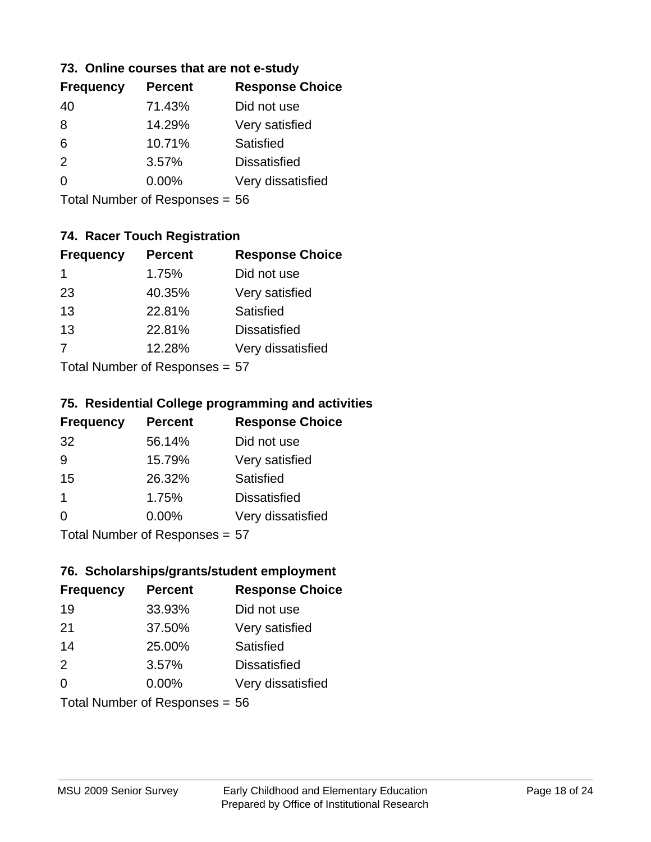#### **73. Online courses that are not e-study**

| <b>Frequency</b> | <b>Percent</b> | <b>Response Choice</b> |
|------------------|----------------|------------------------|
| 40               | 71.43%         | Did not use            |
| 8                | 14.29%         | Very satisfied         |
| 6                | 10.71%         | Satisfied              |
| 2                | 3.57%          | <b>Dissatisfied</b>    |
|                  | $0.00\%$       | Very dissatisfied      |
|                  |                |                        |

Total Number of Responses = 56

# **74. Racer Touch Registration**

| <b>Frequency</b>             | <b>Percent</b> | <b>Response Choice</b> |  |
|------------------------------|----------------|------------------------|--|
| 1                            | 1.75%          | Did not use            |  |
| 23                           | 40.35%         | Very satisfied         |  |
| 13                           | 22.81%         | <b>Satisfied</b>       |  |
| 13                           | 22.81%         | <b>Dissatisfied</b>    |  |
| $\overline{7}$               | 12.28%         | Very dissatisfied      |  |
| Tetal Niveshow of Decoration |                |                        |  |

Total Number of Responses = 57

#### **75. Residential College programming and activities**

| <b>Frequency</b> | <b>Percent</b>              | <b>Response Choice</b> |  |
|------------------|-----------------------------|------------------------|--|
| 32               | 56.14%                      | Did not use            |  |
| 9                | 15.79%                      | Very satisfied         |  |
| 15               | 26.32%                      | Satisfied              |  |
| 1                | 1.75%                       | <b>Dissatisfied</b>    |  |
| $\Omega$         | 0.00%                       | Very dissatisfied      |  |
|                  | Tetal Niumber of Desperance |                        |  |

Total Number of Responses = 57

#### **76. Scholarships/grants/student employment**

| <b>Frequency</b> | <b>Percent</b>                   | <b>Response Choice</b> |
|------------------|----------------------------------|------------------------|
| 19               | 33.93%                           | Did not use            |
| 21               | 37.50%                           | Very satisfied         |
| 14               | 25.00%                           | <b>Satisfied</b>       |
| 2                | 3.57%                            | <b>Dissatisfied</b>    |
| $\Omega$         | 0.00%                            | Very dissatisfied      |
|                  | Total Number of Responses = $56$ |                        |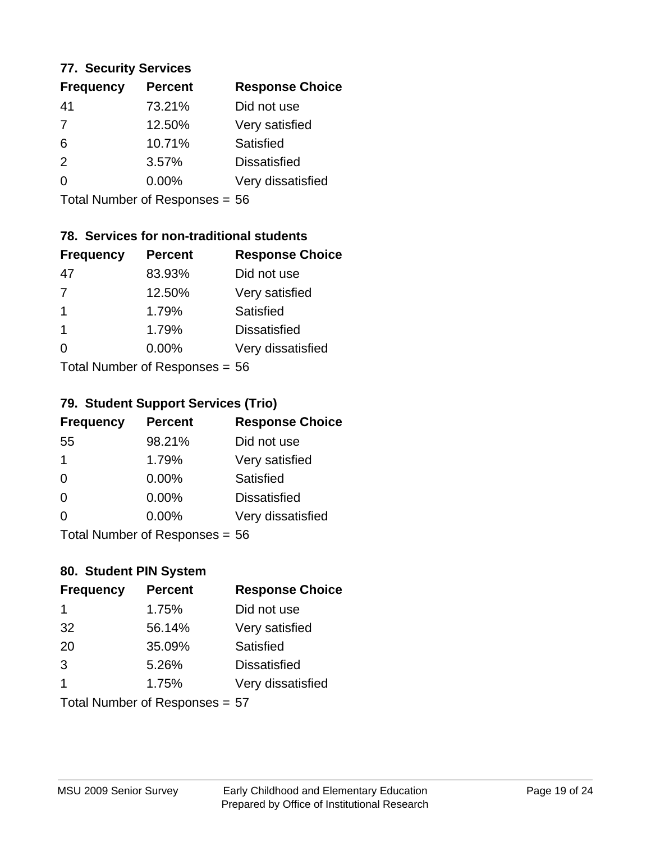#### **77. Security Services**

| <b>Frequency</b> | <b>Percent</b> | <b>Response Choice</b> |
|------------------|----------------|------------------------|
| 41               | 73.21%         | Did not use            |
| 7                | 12.50%         | Very satisfied         |
| 6                | 10.71%         | Satisfied              |
| $\mathcal{P}$    | 3.57%          | <b>Dissatisfied</b>    |
| $\Omega$         | $0.00\%$       | Very dissatisfied      |
|                  |                |                        |

Total Number of Responses = 56

# **78. Services for non-traditional students**

| <b>Frequency</b>           | <b>Percent</b> | <b>Response Choice</b> |
|----------------------------|----------------|------------------------|
| 47                         | 83.93%         | Did not use            |
| $\overline{7}$             | 12.50%         | Very satisfied         |
| $\overline{1}$             | 1.79%          | Satisfied              |
| $\overline{1}$             | 1.79%          | <b>Dissatisfied</b>    |
| ∩                          | 0.00%          | Very dissatisfied      |
| Tatal Number of Desperance |                |                        |

Total Number of Responses = 56

# **79. Student Support Services (Trio)**

| <b>Frequency</b> | <b>Percent</b>              | <b>Response Choice</b> |
|------------------|-----------------------------|------------------------|
| 55               | 98.21%                      | Did not use            |
| 1                | 1.79%                       | Very satisfied         |
| $\Omega$         | $0.00\%$                    | Satisfied              |
| $\Omega$         | $0.00\%$                    | <b>Dissatisfied</b>    |
| $\Omega$         | $0.00\%$                    | Very dissatisfied      |
|                  | $Total Number of Denonce -$ |                        |

Total Number of Responses = 56

# **80. Student PIN System**

| <b>Frequency</b> | <b>Percent</b>                 | <b>Response Choice</b> |
|------------------|--------------------------------|------------------------|
| 1                | 1.75%                          | Did not use            |
| 32               | 56.14%                         | Very satisfied         |
| 20               | 35.09%                         | Satisfied              |
| 3                | 5.26%                          | <b>Dissatisfied</b>    |
| 1                | 1.75%                          | Very dissatisfied      |
|                  | Total Number of Responses = 57 |                        |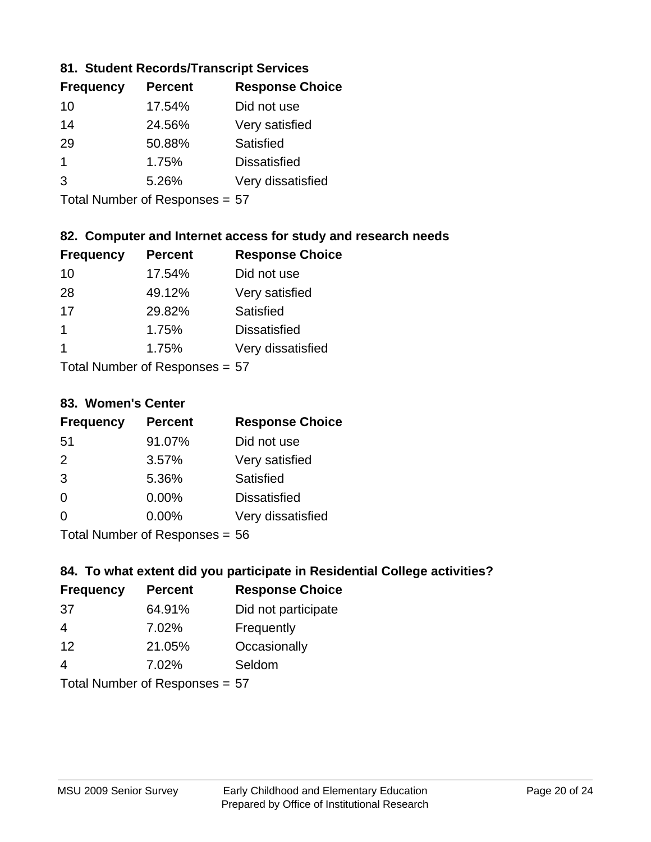## **81. Student Records/Transcript Services**

| <b>Frequency</b> | <b>Percent</b> | <b>Response Choice</b> |
|------------------|----------------|------------------------|
| 10               | 17.54%         | Did not use            |
| 14               | 24.56%         | Very satisfied         |
| 29               | 50.88%         | <b>Satisfied</b>       |
| 1                | 1.75%          | <b>Dissatisfied</b>    |
| 3                | 5.26%          | Very dissatisfied      |

Total Number of Responses = 57

# **82. Computer and Internet access for study and research needs**

| <b>Frequency</b> | <b>Percent</b> | <b>Response Choice</b> |
|------------------|----------------|------------------------|
| 10               | 17.54%         | Did not use            |
| 28               | 49.12%         | Very satisfied         |
| 17               | 29.82%         | <b>Satisfied</b>       |
| 1                | 1.75%          | <b>Dissatisfied</b>    |
|                  | 1.75%          | Very dissatisfied      |
|                  |                |                        |

Total Number of Responses = 57

#### **83. Women's Center**

| <b>Frequency</b> | <b>Percent</b>            | <b>Response Choice</b> |
|------------------|---------------------------|------------------------|
| -51              | 91.07%                    | Did not use            |
| 2                | 3.57%                     | Very satisfied         |
| 3                | 5.36%                     | <b>Satisfied</b>       |
| $\Omega$         | $0.00\%$                  | <b>Dissatisfied</b>    |
| $\Omega$         | 0.00%                     | Very dissatisfied      |
|                  | Total Number of Desponses |                        |

Total Number of Responses = 56

#### **84. To what extent did you participate in Residential College activities?**

| <b>Frequency</b> | <b>Percent</b>            | <b>Response Choice</b> |  |
|------------------|---------------------------|------------------------|--|
| -37              | 64.91%                    | Did not participate    |  |
| 4                | 7.02%                     | Frequently             |  |
| 12               | 21.05%                    | Occasionally           |  |
| 4                | 7.02%                     | Seldom                 |  |
|                  | Total Number of Deepensee |                        |  |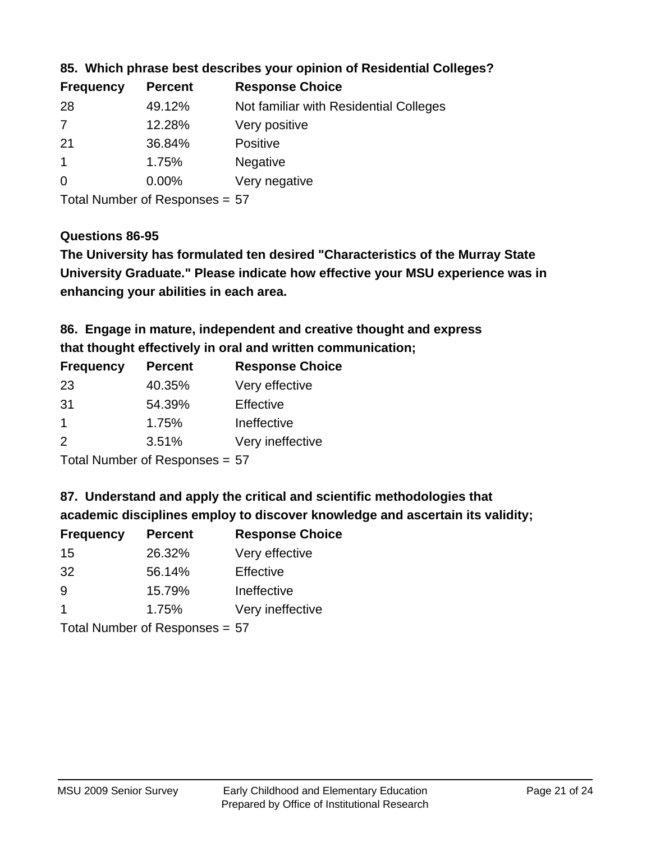| <b>Frequency</b> | <b>Percent</b> | <b>Response Choice</b>                 |
|------------------|----------------|----------------------------------------|
| 28               | 49.12%         | Not familiar with Residential Colleges |
| 7                | 12.28%         | Very positive                          |
| -21              | 36.84%         | <b>Positive</b>                        |
|                  | 1.75%          | <b>Negative</b>                        |
| $\overline{0}$   | $0.00\%$       | Very negative                          |
|                  |                |                                        |

## **85. Which phrase best describes your opinion of Residential Colleges?**

Total Number of Responses = 57

#### **Questions 86-95**

**University Graduate." Please indicate how effective your MSU experience was in The University has formulated ten desired "Characteristics of the Murray State enhancing your abilities in each area.**

# **86. Engage in mature, independent and creative thought and express that thought effectively in oral and written communication;**

| <b>Frequency</b> | <b>Percent</b> | <b>Response Choice</b> |
|------------------|----------------|------------------------|
| 23               | 40.35%         | Very effective         |
| -31              | 54.39%         | Effective              |
|                  | 1.75%          | Ineffective            |
| $\mathcal{P}$    | 3.51%          | Very ineffective       |

Total Number of Responses = 57

#### **87. Understand and apply the critical and scientific methodologies that**

**academic disciplines employ to discover knowledge and ascertain its validity;**

| <b>Frequency</b>     | <b>Percent</b> | <b>Response Choice</b> |
|----------------------|----------------|------------------------|
| 15                   | 26.32%         | Very effective         |
| 32                   | 56.14%         | Effective              |
| 9                    | 15.79%         | Ineffective            |
| $\blacktriangleleft$ | 1.75%          | Very ineffective       |
|                      |                |                        |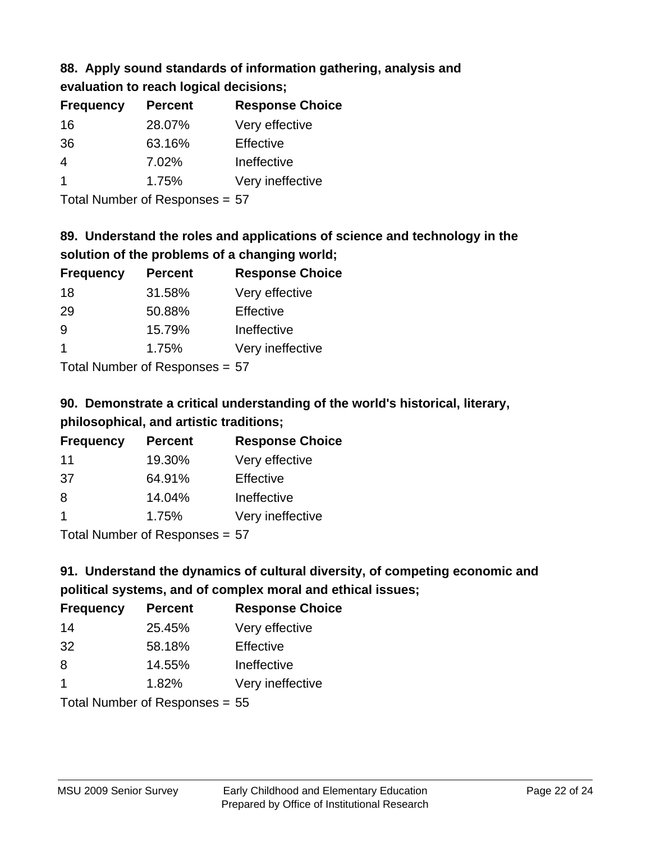# **88. Apply sound standards of information gathering, analysis and**

| evaluation to reach logical decisions; |  |
|----------------------------------------|--|
|----------------------------------------|--|

| <b>Percent</b> | <b>Response Choice</b> |
|----------------|------------------------|
| 28.07%         | Very effective         |
| 63.16%         | Effective              |
| 7.02%          | Ineffective            |
| 1.75%          | Very ineffective       |
|                |                        |

Total Number of Responses = 57

# **89. Understand the roles and applications of science and technology in the solution of the problems of a changing world;**

| <b>Frequency</b>                                                                                                                 | <b>Percent</b> | <b>Response Choice</b> |
|----------------------------------------------------------------------------------------------------------------------------------|----------------|------------------------|
| 18                                                                                                                               | 31.58%         | Very effective         |
| 29                                                                                                                               | 50.88%         | Effective              |
| 9                                                                                                                                | 15.79%         | Ineffective            |
|                                                                                                                                  | 1.75%          | Very ineffective       |
| $\tau$ . $\tau$ . In the set of $\tau$ , $\tau$ , $\tau$ , $\tau$ , $\tau$ , $\tau$ , $\tau$ , $\tau$ , $\tau$ , $\tau$ , $\tau$ |                |                        |

Total Number of Responses = 57

# **90. Demonstrate a critical understanding of the world's historical, literary, philosophical, and artistic traditions;**

| <b>Frequency</b> | <b>Percent</b> | <b>Response Choice</b> |
|------------------|----------------|------------------------|
| 11               | 19.30%         | Very effective         |
| .37              | 64.91%         | Effective              |
| 8                | 14.04%         | Ineffective            |
|                  | 1.75%          | Very ineffective       |
|                  |                |                        |

Total Number of Responses = 57

# **91. Understand the dynamics of cultural diversity, of competing economic and political systems, and of complex moral and ethical issues;**

| <b>Frequency</b>                 | <b>Percent</b> | <b>Response Choice</b> |
|----------------------------------|----------------|------------------------|
| 14                               | 25.45%         | Very effective         |
| 32                               | 58.18%         | Effective              |
| 8                                | 14.55%         | Ineffective            |
| $\overline{1}$                   | 1.82%          | Very ineffective       |
| Total Number of Responses = $55$ |                |                        |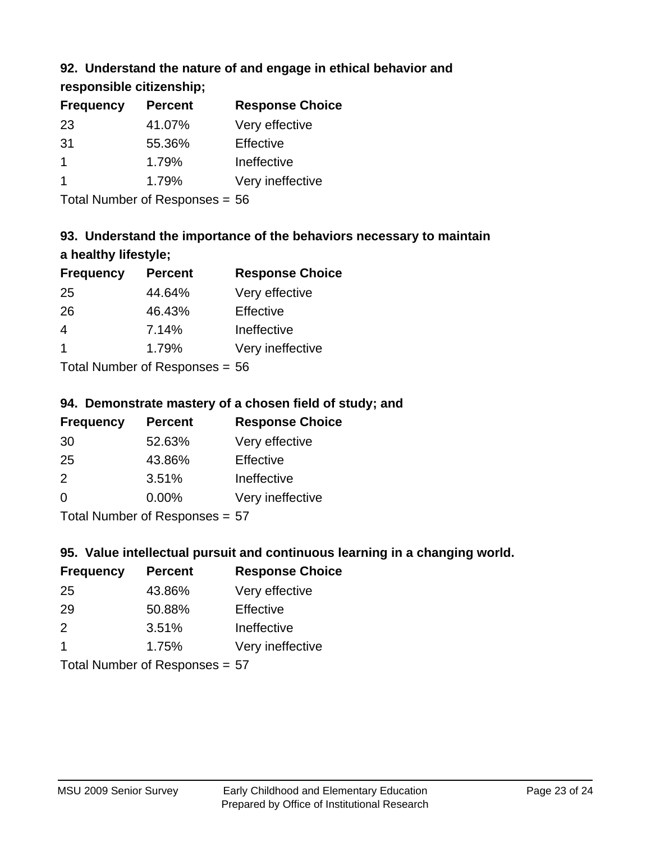# **92. Understand the nature of and engage in ethical behavior and**

**responsible citizenship;**

| <b>Frequency</b> | <b>Percent</b> | <b>Response Choice</b> |
|------------------|----------------|------------------------|
| 23               | 41.07%         | Very effective         |
| -31              | 55.36%         | Effective              |
|                  | 1.79%          | Ineffective            |
|                  | 1.79%          | Very ineffective       |
|                  |                |                        |

Total Number of Responses = 56

# **93. Understand the importance of the behaviors necessary to maintain a healthy lifestyle;**

| <b>Frequency</b> | <b>Percent</b> | <b>Response Choice</b> |
|------------------|----------------|------------------------|
| 25               | 44.64%         | Very effective         |
| 26               | 46.43%         | Effective              |
| 4                | 7.14%          | Ineffective            |
| -1               | 1.79%          | Very ineffective       |
|                  |                |                        |

Total Number of Responses = 56

# **94. Demonstrate mastery of a chosen field of study; and**

| <b>Frequency</b> | <b>Percent</b> | <b>Response Choice</b> |
|------------------|----------------|------------------------|
| 30               | 52.63%         | Very effective         |
| 25               | 43.86%         | Effective              |
| $\mathcal{P}$    | 3.51%          | Ineffective            |
| $\Omega$         | $0.00\%$       | Very ineffective       |
|                  |                |                        |

Total Number of Responses = 57

# **95. Value intellectual pursuit and continuous learning in a changing world.**

| <b>Frequency</b> | <b>Percent</b> | <b>Response Choice</b> |
|------------------|----------------|------------------------|
| 25               | 43.86%         | Very effective         |
| 29               | 50.88%         | Effective              |
| $\mathcal{P}$    | 3.51%          | Ineffective            |
| -1               | 1.75%          | Very ineffective       |
|                  |                |                        |